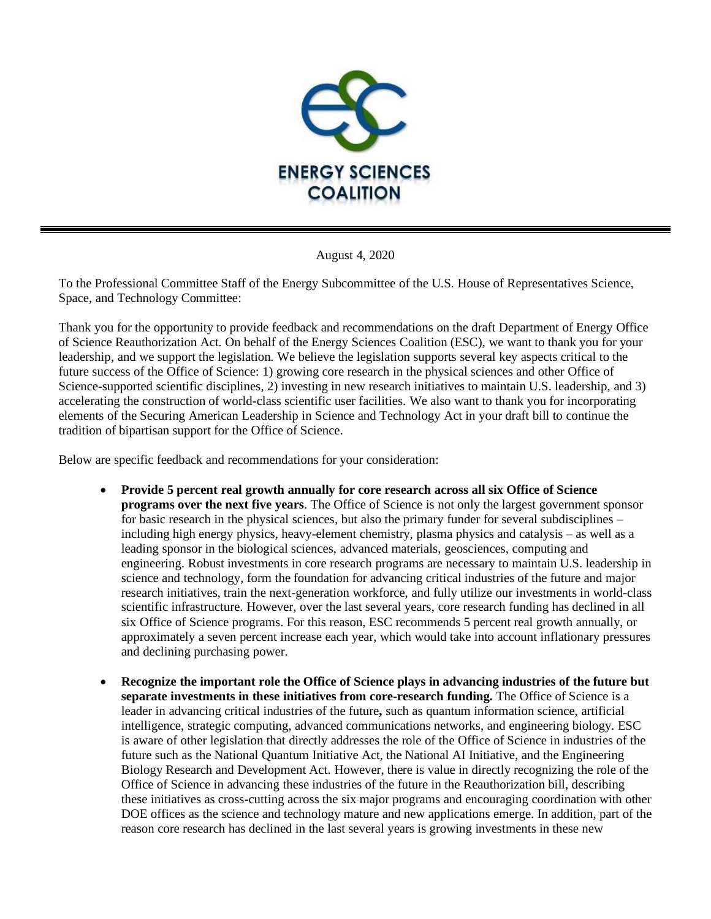

August 4, 2020

To the Professional Committee Staff of the Energy Subcommittee of the U.S. House of Representatives Science, Space, and Technology Committee:

Thank you for the opportunity to provide feedback and recommendations on the draft Department of Energy Office of Science Reauthorization Act. On behalf of the Energy Sciences Coalition (ESC), we want to thank you for your leadership, and we support the legislation. We believe the legislation supports several key aspects critical to the future success of the Office of Science: 1) growing core research in the physical sciences and other Office of Science-supported scientific disciplines, 2) investing in new research initiatives to maintain U.S. leadership, and 3) accelerating the construction of world-class scientific user facilities. We also want to thank you for incorporating elements of the Securing American Leadership in Science and Technology Act in your draft bill to continue the tradition of bipartisan support for the Office of Science.

Below are specific feedback and recommendations for your consideration:

- **Provide 5 percent real growth annually for core research across all six Office of Science programs over the next five years**. The Office of Science is not only the largest government sponsor for basic research in the physical sciences, but also the primary funder for several subdisciplines – including high energy physics, heavy-element chemistry, plasma physics and catalysis – as well as a leading sponsor in the biological sciences, advanced materials, geosciences, computing and engineering. Robust investments in core research programs are necessary to maintain U.S. leadership in science and technology, form the foundation for advancing critical industries of the future and major research initiatives, train the next-generation workforce, and fully utilize our investments in world-class scientific infrastructure. However, over the last several years, core research funding has declined in all six Office of Science programs. For this reason, ESC recommends 5 percent real growth annually, or approximately a seven percent increase each year, which would take into account inflationary pressures and declining purchasing power.
- **Recognize the important role the Office of Science plays in advancing industries of the future but separate investments in these initiatives from core-research funding.** The Office of Science is a leader in advancing critical industries of the future**,** such as quantum information science, artificial intelligence, strategic computing, advanced communications networks, and engineering biology. ESC is aware of other legislation that directly addresses the role of the Office of Science in industries of the future such as the National Quantum Initiative Act, the National AI Initiative, and the Engineering Biology Research and Development Act. However, there is value in directly recognizing the role of the Office of Science in advancing these industries of the future in the Reauthorization bill, describing these initiatives as cross-cutting across the six major programs and encouraging coordination with other DOE offices as the science and technology mature and new applications emerge. In addition, part of the reason core research has declined in the last several years is growing investments in these new